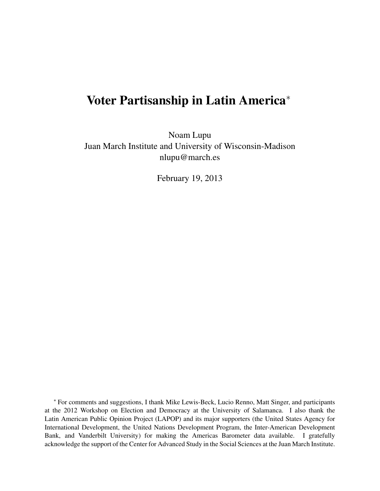## Voter Partisanship in Latin America<sup>∗</sup>

Noam Lupu Juan March Institute and University of Wisconsin-Madison nlupu@march.es

February 19, 2013

<sup>∗</sup> For comments and suggestions, I thank Mike Lewis-Beck, Lucio Renno, Matt Singer, and participants at the 2012 Workshop on Election and Democracy at the University of Salamanca. I also thank the Latin American Public Opinion Project (LAPOP) and its major supporters (the United States Agency for International Development, the United Nations Development Program, the Inter-American Development Bank, and Vanderbilt University) for making the Americas Barometer data available. I gratefully acknowledge the support of the Center for Advanced Study in the Social Sciences at the Juan March Institute.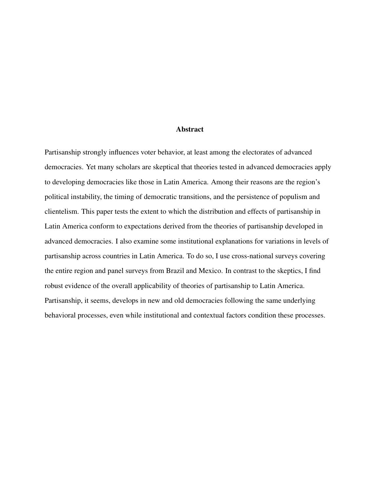#### Abstract

Partisanship strongly influences voter behavior, at least among the electorates of advanced democracies. Yet many scholars are skeptical that theories tested in advanced democracies apply to developing democracies like those in Latin America. Among their reasons are the region's political instability, the timing of democratic transitions, and the persistence of populism and clientelism. This paper tests the extent to which the distribution and effects of partisanship in Latin America conform to expectations derived from the theories of partisanship developed in advanced democracies. I also examine some institutional explanations for variations in levels of partisanship across countries in Latin America. To do so, I use cross-national surveys covering the entire region and panel surveys from Brazil and Mexico. In contrast to the skeptics, I find robust evidence of the overall applicability of theories of partisanship to Latin America. Partisanship, it seems, develops in new and old democracies following the same underlying behavioral processes, even while institutional and contextual factors condition these processes.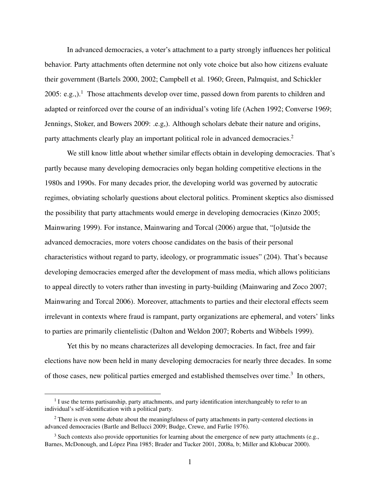In advanced democracies, a voter's attachment to a party strongly influences her political behavior. Party attachments often determine not only vote choice but also how citizens evaluate their government (Bartels 2000, 2002; Campbell et al. 1960; Green, Palmquist, and Schickler 2005: e.g.,).<sup>1</sup> Those attachments develop over time, passed down from parents to children and adapted or reinforced over the course of an individual's voting life (Achen 1992; Converse 1969; Jennings, Stoker, and Bowers 2009: .e.g,). Although scholars debate their nature and origins, party attachments clearly play an important political role in advanced democracies.<sup>2</sup>

We still know little about whether similar effects obtain in developing democracies. That's partly because many developing democracies only began holding competitive elections in the 1980s and 1990s. For many decades prior, the developing world was governed by autocratic regimes, obviating scholarly questions about electoral politics. Prominent skeptics also dismissed the possibility that party attachments would emerge in developing democracies (Kinzo 2005; Mainwaring 1999). For instance, Mainwaring and Torcal (2006) argue that, "[o]utside the advanced democracies, more voters choose candidates on the basis of their personal characteristics without regard to party, ideology, or programmatic issues" (204). That's because developing democracies emerged after the development of mass media, which allows politicians to appeal directly to voters rather than investing in party-building (Mainwaring and Zoco 2007; Mainwaring and Torcal 2006). Moreover, attachments to parties and their electoral effects seem irrelevant in contexts where fraud is rampant, party organizations are ephemeral, and voters' links to parties are primarily clientelistic (Dalton and Weldon 2007; Roberts and Wibbels 1999).

Yet this by no means characterizes all developing democracies. In fact, free and fair elections have now been held in many developing democracies for nearly three decades. In some of those cases, new political parties emerged and established themselves over time.<sup>3</sup> In others,

<sup>&</sup>lt;sup>1</sup> I use the terms partisanship, party attachments, and party identification interchangeably to refer to an individual's self-identification with a political party.

 $2$  There is even some debate about the meaningfulness of party attachments in party-centered elections in advanced democracies (Bartle and Bellucci 2009; Budge, Crewe, and Farlie 1976).

<sup>&</sup>lt;sup>3</sup> Such contexts also provide opportunities for learning about the emergence of new party attachments (e.g., Barnes, McDonough, and López Pina 1985; Brader and Tucker 2001, 2008a, b; Miller and Klobucar 2000).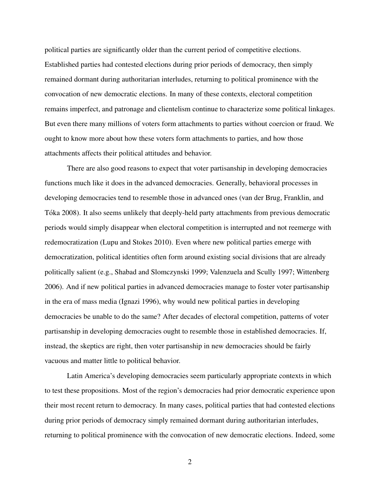political parties are significantly older than the current period of competitive elections. Established parties had contested elections during prior periods of democracy, then simply remained dormant during authoritarian interludes, returning to political prominence with the convocation of new democratic elections. In many of these contexts, electoral competition remains imperfect, and patronage and clientelism continue to characterize some political linkages. But even there many millions of voters form attachments to parties without coercion or fraud. We ought to know more about how these voters form attachments to parties, and how those attachments affects their political attitudes and behavior.

There are also good reasons to expect that voter partisanship in developing democracies functions much like it does in the advanced democracies. Generally, behavioral processes in developing democracies tend to resemble those in advanced ones (van der Brug, Franklin, and Toka 2008). It also seems unlikely that deeply-held party attachments from previous democratic ´ periods would simply disappear when electoral competition is interrupted and not reemerge with redemocratization (Lupu and Stokes 2010). Even where new political parties emerge with democratization, political identities often form around existing social divisions that are already politically salient (e.g., Shabad and Slomczynski 1999; Valenzuela and Scully 1997; Wittenberg 2006). And if new political parties in advanced democracies manage to foster voter partisanship in the era of mass media (Ignazi 1996), why would new political parties in developing democracies be unable to do the same? After decades of electoral competition, patterns of voter partisanship in developing democracies ought to resemble those in established democracies. If, instead, the skeptics are right, then voter partisanship in new democracies should be fairly vacuous and matter little to political behavior.

Latin America's developing democracies seem particularly appropriate contexts in which to test these propositions. Most of the region's democracies had prior democratic experience upon their most recent return to democracy. In many cases, political parties that had contested elections during prior periods of democracy simply remained dormant during authoritarian interludes, returning to political prominence with the convocation of new democratic elections. Indeed, some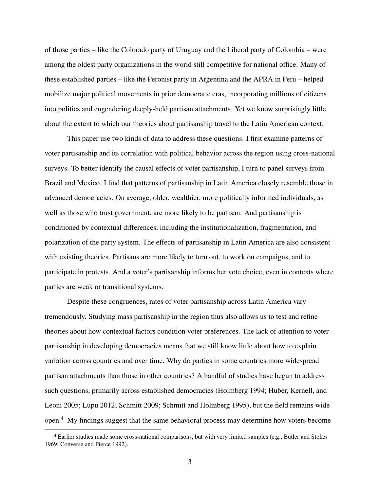of those parties – like the Colorado party of Uruguay and the Liberal party of Colombia – were among the oldest party organizations in the world still competitive for national office. Many of these established parties – like the Peronist party in Argentina and the APRA in Peru – helped mobilize major political movements in prior democratic eras, incorporating millions of citizens into politics and engendering deeply-held partisan attachments. Yet we know surprisingly little about the extent to which our theories about partisanship travel to the Latin American context.

This paper use two kinds of data to address these questions. I first examine patterns of voter partisanship and its correlation with political behavior across the region using cross-national surveys. To better identify the causal effects of voter partisanship, I turn to panel surveys from Brazil and Mexico. I find that patterns of partisanship in Latin America closely resemble those in advanced democracies. On average, older, wealthier, more politically informed individuals, as well as those who trust government, are more likely to be partisan. And partisanship is conditioned by contextual differences, including the institutionalization, fragmentation, and polarization of the party system. The effects of partisanship in Latin America are also consistent with existing theories. Partisans are more likely to turn out, to work on campaigns, and to participate in protests. And a voter's partisanship informs her vote choice, even in contexts where parties are weak or transitional systems.

Despite these congruences, rates of voter partisanship across Latin America vary tremendously. Studying mass partisanship in the region thus also allows us to test and refine theories about how contextual factors condition voter preferences. The lack of attention to voter partisanship in developing democracies means that we still know little about how to explain variation across countries and over time. Why do parties in some countries more widespread partisan attachments than those in other countries? A handful of studies have begun to address such questions, primarily across established democracies (Holmberg 1994; Huber, Kernell, and Leoni 2005; Lupu 2012; Schmitt 2009; Schmitt and Holmberg 1995), but the field remains wide open.<sup>4</sup> My findings suggest that the same behavioral process may determine how voters become

<sup>&</sup>lt;sup>4</sup> Earlier studies made some cross-national comparisons, but with very limited samples (e.g., Butler and Stokes 1969; Converse and Pierce 1992).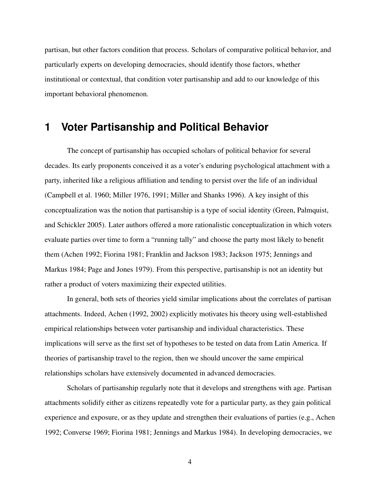partisan, but other factors condition that process. Scholars of comparative political behavior, and particularly experts on developing democracies, should identify those factors, whether institutional or contextual, that condition voter partisanship and add to our knowledge of this important behavioral phenomenon.

## **1 Voter Partisanship and Political Behavior**

The concept of partisanship has occupied scholars of political behavior for several decades. Its early proponents conceived it as a voter's enduring psychological attachment with a party, inherited like a religious affiliation and tending to persist over the life of an individual (Campbell et al. 1960; Miller 1976, 1991; Miller and Shanks 1996). A key insight of this conceptualization was the notion that partisanship is a type of social identity (Green, Palmquist, and Schickler 2005). Later authors offered a more rationalistic conceptualization in which voters evaluate parties over time to form a "running tally" and choose the party most likely to benefit them (Achen 1992; Fiorina 1981; Franklin and Jackson 1983; Jackson 1975; Jennings and Markus 1984; Page and Jones 1979). From this perspective, partisanship is not an identity but rather a product of voters maximizing their expected utilities.

In general, both sets of theories yield similar implications about the correlates of partisan attachments. Indeed, Achen (1992, 2002) explicitly motivates his theory using well-established empirical relationships between voter partisanship and individual characteristics. These implications will serve as the first set of hypotheses to be tested on data from Latin America. If theories of partisanship travel to the region, then we should uncover the same empirical relationships scholars have extensively documented in advanced democracies.

Scholars of partisanship regularly note that it develops and strengthens with age. Partisan attachments solidify either as citizens repeatedly vote for a particular party, as they gain political experience and exposure, or as they update and strengthen their evaluations of parties (e.g., Achen 1992; Converse 1969; Fiorina 1981; Jennings and Markus 1984). In developing democracies, we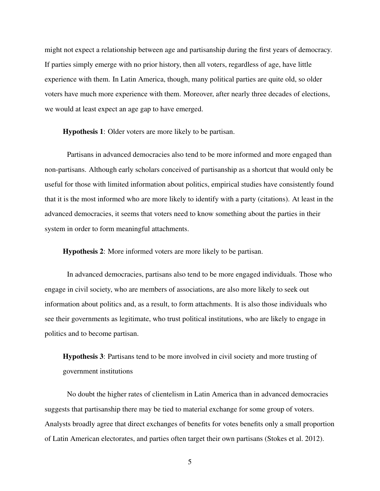might not expect a relationship between age and partisanship during the first years of democracy. If parties simply emerge with no prior history, then all voters, regardless of age, have little experience with them. In Latin America, though, many political parties are quite old, so older voters have much more experience with them. Moreover, after nearly three decades of elections, we would at least expect an age gap to have emerged.

Hypothesis 1: Older voters are more likely to be partisan.

Partisans in advanced democracies also tend to be more informed and more engaged than non-partisans. Although early scholars conceived of partisanship as a shortcut that would only be useful for those with limited information about politics, empirical studies have consistently found that it is the most informed who are more likely to identify with a party (citations). At least in the advanced democracies, it seems that voters need to know something about the parties in their system in order to form meaningful attachments.

Hypothesis 2: More informed voters are more likely to be partisan.

In advanced democracies, partisans also tend to be more engaged individuals. Those who engage in civil society, who are members of associations, are also more likely to seek out information about politics and, as a result, to form attachments. It is also those individuals who see their governments as legitimate, who trust political institutions, who are likely to engage in politics and to become partisan.

Hypothesis 3: Partisans tend to be more involved in civil society and more trusting of government institutions

No doubt the higher rates of clientelism in Latin America than in advanced democracies suggests that partisanship there may be tied to material exchange for some group of voters. Analysts broadly agree that direct exchanges of benefits for votes benefits only a small proportion of Latin American electorates, and parties often target their own partisans (Stokes et al. 2012).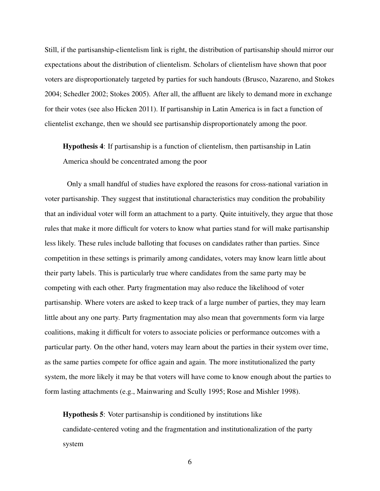Still, if the partisanship-clientelism link is right, the distribution of partisanship should mirror our expectations about the distribution of clientelism. Scholars of clientelism have shown that poor voters are disproportionately targeted by parties for such handouts (Brusco, Nazareno, and Stokes 2004; Schedler 2002; Stokes 2005). After all, the affluent are likely to demand more in exchange for their votes (see also Hicken 2011). If partisanship in Latin America is in fact a function of clientelist exchange, then we should see partisanship disproportionately among the poor.

Hypothesis 4: If partisanship is a function of clientelism, then partisanship in Latin America should be concentrated among the poor

Only a small handful of studies have explored the reasons for cross-national variation in voter partisanship. They suggest that institutional characteristics may condition the probability that an individual voter will form an attachment to a party. Quite intuitively, they argue that those rules that make it more difficult for voters to know what parties stand for will make partisanship less likely. These rules include balloting that focuses on candidates rather than parties. Since competition in these settings is primarily among candidates, voters may know learn little about their party labels. This is particularly true where candidates from the same party may be competing with each other. Party fragmentation may also reduce the likelihood of voter partisanship. Where voters are asked to keep track of a large number of parties, they may learn little about any one party. Party fragmentation may also mean that governments form via large coalitions, making it difficult for voters to associate policies or performance outcomes with a particular party. On the other hand, voters may learn about the parties in their system over time, as the same parties compete for office again and again. The more institutionalized the party system, the more likely it may be that voters will have come to know enough about the parties to form lasting attachments (e.g., Mainwaring and Scully 1995; Rose and Mishler 1998).

Hypothesis 5: Voter partisanship is conditioned by institutions like candidate-centered voting and the fragmentation and institutionalization of the party system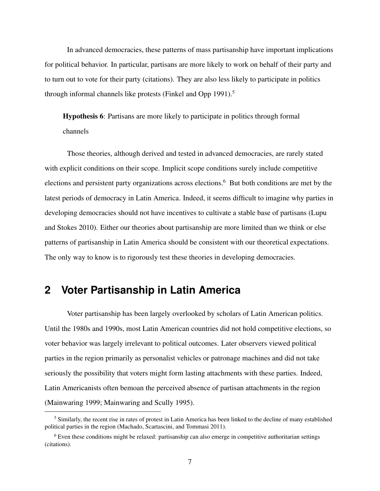In advanced democracies, these patterns of mass partisanship have important implications for political behavior. In particular, partisans are more likely to work on behalf of their party and to turn out to vote for their party (citations). They are also less likely to participate in politics through informal channels like protests (Finkel and Opp 1991).<sup>5</sup>

Hypothesis 6: Partisans are more likely to participate in politics through formal channels

Those theories, although derived and tested in advanced democracies, are rarely stated with explicit conditions on their scope. Implicit scope conditions surely include competitive elections and persistent party organizations across elections.<sup>6</sup> But both conditions are met by the latest periods of democracy in Latin America. Indeed, it seems difficult to imagine why parties in developing democracies should not have incentives to cultivate a stable base of partisans (Lupu and Stokes 2010). Either our theories about partisanship are more limited than we think or else patterns of partisanship in Latin America should be consistent with our theoretical expectations. The only way to know is to rigorously test these theories in developing democracies.

## **2 Voter Partisanship in Latin America**

Voter partisanship has been largely overlooked by scholars of Latin American politics. Until the 1980s and 1990s, most Latin American countries did not hold competitive elections, so voter behavior was largely irrelevant to political outcomes. Later observers viewed political parties in the region primarily as personalist vehicles or patronage machines and did not take seriously the possibility that voters might form lasting attachments with these parties. Indeed, Latin Americanists often bemoan the perceived absence of partisan attachments in the region (Mainwaring 1999; Mainwaring and Scully 1995).

 $<sup>5</sup>$  Similarly, the recent rise in rates of protest in Latin America has been linked to the decline of many established</sup> political parties in the region (Machado, Scartascini, and Tommasi 2011).

<sup>&</sup>lt;sup>6</sup> Even these conditions might be relaxed: partisanship can also emerge in competitive authoritarian settings (citations).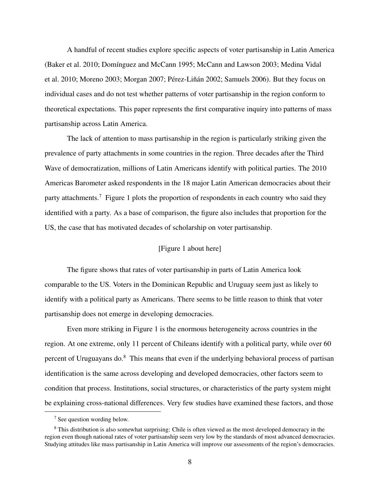A handful of recent studies explore specific aspects of voter partisanship in Latin America (Baker et al. 2010; Domínguez and McCann 1995; McCann and Lawson 2003; Medina Vidal et al. 2010; Moreno 2003; Morgan 2007; Pérez-Liñán 2002; Samuels 2006). But they focus on individual cases and do not test whether patterns of voter partisanship in the region conform to theoretical expectations. This paper represents the first comparative inquiry into patterns of mass partisanship across Latin America.

The lack of attention to mass partisanship in the region is particularly striking given the prevalence of party attachments in some countries in the region. Three decades after the Third Wave of democratization, millions of Latin Americans identify with political parties. The 2010 Americas Barometer asked respondents in the 18 major Latin American democracies about their party attachments.<sup>7</sup> Figure 1 plots the proportion of respondents in each country who said they identified with a party. As a base of comparison, the figure also includes that proportion for the US, the case that has motivated decades of scholarship on voter partisanship.

### [Figure 1 about here]

The figure shows that rates of voter partisanship in parts of Latin America look comparable to the US. Voters in the Dominican Republic and Uruguay seem just as likely to identify with a political party as Americans. There seems to be little reason to think that voter partisanship does not emerge in developing democracies.

Even more striking in Figure 1 is the enormous heterogeneity across countries in the region. At one extreme, only 11 percent of Chileans identify with a political party, while over 60 percent of Uruguayans do.<sup>8</sup> This means that even if the underlying behavioral process of partisan identification is the same across developing and developed democracies, other factors seem to condition that process. Institutions, social structures, or characteristics of the party system might be explaining cross-national differences. Very few studies have examined these factors, and those

<sup>7</sup> See question wording below.

<sup>&</sup>lt;sup>8</sup> This distribution is also somewhat surprising: Chile is often viewed as the most developed democracy in the region even though national rates of voter partisanship seem very low by the standards of most advanced democracies. Studying attitudes like mass partisanship in Latin America will improve our assessments of the region's democracies.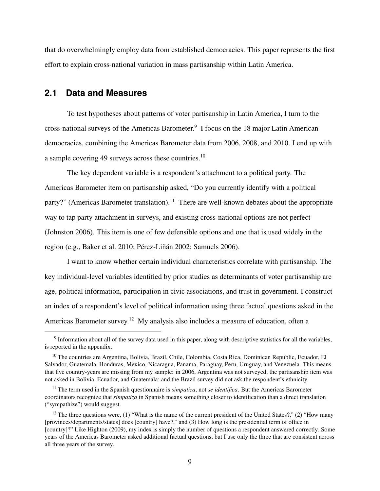that do overwhelmingly employ data from established democracies. This paper represents the first effort to explain cross-national variation in mass partisanship within Latin America.

### **2.1 Data and Measures**

To test hypotheses about patterns of voter partisanship in Latin America, I turn to the cross-national surveys of the Americas Barometer.<sup>9</sup> I focus on the 18 major Latin American democracies, combining the Americas Barometer data from 2006, 2008, and 2010. I end up with a sample covering 49 surveys across these countries.<sup>10</sup>

The key dependent variable is a respondent's attachment to a political party. The Americas Barometer item on partisanship asked, "Do you currently identify with a political party?" (Americas Barometer translation).<sup>11</sup> There are well-known debates about the appropriate way to tap party attachment in surveys, and existing cross-national options are not perfect (Johnston 2006). This item is one of few defensible options and one that is used widely in the region (e.g., Baker et al. 2010; Pérez-Liñán 2002; Samuels 2006).

I want to know whether certain individual characteristics correlate with partisanship. The key individual-level variables identified by prior studies as determinants of voter partisanship are age, political information, participation in civic associations, and trust in government. I construct an index of a respondent's level of political information using three factual questions asked in the Americas Barometer survey.<sup>12</sup> My analysis also includes a measure of education, often a

 $9$  Information about all of the survey data used in this paper, along with descriptive statistics for all the variables, is reported in the appendix.

<sup>&</sup>lt;sup>10</sup> The countries are Argentina, Bolivia, Brazil, Chile, Colombia, Costa Rica, Dominican Republic, Ecuador, El Salvador, Guatemala, Honduras, Mexico, Nicaragua, Panama, Paraguay, Peru, Uruguay, and Venezuela. This means that five country-years are missing from my sample: in 2006, Argentina was not surveyed; the partisanship item was not asked in Bolivia, Ecuador, and Guatemala; and the Brazil survey did not ask the respondent's ethnicity.

<sup>11</sup> The term used in the Spanish questionnaire is *simpatiza*, not *se identifica*. But the Americas Barometer coordinators recognize that *simpatiza* in Spanish means something closer to identification than a direct translation ("sympathize") would suggest.

<sup>&</sup>lt;sup>12</sup> The three questions were, (1) "What is the name of the current president of the United States?," (2) "How many [provinces/departments/states] does [country] have?," and (3) How long is the presidential term of office in [country]?" Like Highton (2009), my index is simply the number of questions a respondent answered correctly. Some years of the Americas Barometer asked additional factual questions, but I use only the three that are consistent across all three years of the survey.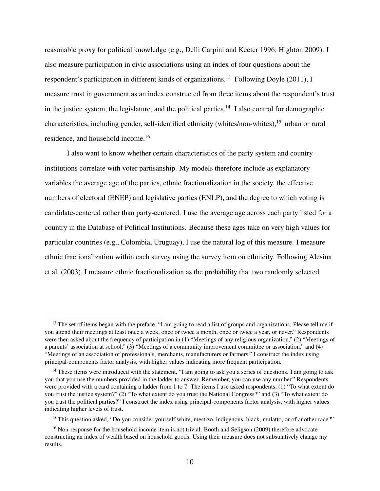reasonable proxy for political knowledge (e.g., Delli Carpini and Keeter 1996; Highton 2009). I also measure participation in civic associations using an index of four questions about the respondent's participation in different kinds of organizations.<sup>13</sup> Following Doyle (2011), I measure trust in government as an index constructed from three items about the respondent's trust in the justice system, the legislature, and the political parties.<sup>14</sup> I also control for demographic characteristics, including gender, self-identified ethnicity (whites/non-whites),  $15$  urban or rural residence, and household income.<sup>16</sup>

I also want to know whether certain characteristics of the party system and country institutions correlate with voter partisanship. My models therefore include as explanatory variables the average age of the parties, ethnic fractionalization in the society, the effective numbers of electoral (ENEP) and legislative parties (ENLP), and the degree to which voting is candidate-centered rather than party-centered. I use the average age across each party listed for a country in the Database of Political Institutions. Because these ages take on very high values for particular countries (e.g., Colombia, Uruguay), I use the natural log of this measure. I measure ethnic fractionalization within each survey using the survey item on ethnicity. Following Alesina et al. (2003), I measure ethnic fractionalization as the probability that two randomly selected

<sup>&</sup>lt;sup>13</sup> The set of items began with the preface, "I am going to read a list of groups and organizations. Please tell me if you attend their meetings at least once a week, once or twice a month, once or twice a year, or never." Respondents were then asked about the frequency of participation in (1) "Meetings of any religious organization," (2) "Meetings of a parents' association at school," (3) "Meetings of a community improvement committee or association," and (4) "Meetings of an association of professionals, merchants, manufacturers or farmers." I construct the index using principal-components factor analysis, with higher values indicating more frequent participation.

 $14$  These items were introduced with the statement, "I am going to ask you a series of questions. I am going to ask you that you use the numbers provided in the ladder to answer. Remember, you can use any number." Respondents were provided with a card containing a ladder from 1 to 7. The items I use asked respondents, (1) "To what extent do you trust the justice system?" (2) "To what extent do you trust the National Congress?" and (3) "To what extent do you trust the political parties?" I construct the index using principal-components factor analysis, with higher values indicating higher levels of trust.

<sup>&</sup>lt;sup>15</sup> This question asked, "Do you consider yourself white, mestizo, indigenous, black, mulatto, or of another race?"

<sup>&</sup>lt;sup>16</sup> Non-response for the household income item is not trivial. Booth and Seligson (2009) therefore advocate constructing an index of wealth based on household goods. Using their measure does not substantively change my results.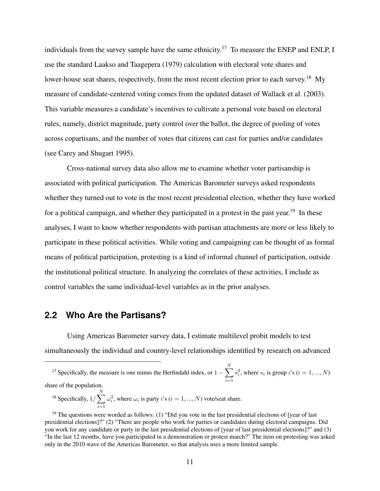individuals from the survey sample have the same ethnicity.<sup>17</sup> To measure the ENEP and ENLP, I use the standard Laakso and Taagepera (1979) calculation with electoral vote shares and lower-house seat shares, respectively, from the most recent election prior to each survey.<sup>18</sup> My measure of candidate-centered voting comes from the updated dataset of Wallack et al. (2003). This variable measures a candidate's incentives to cultivate a personal vote based on electoral rules, namely, district magnitude, party control over the ballot, the degree of pooling of votes across copartisans, and the number of votes that citizens can cast for parties and/or candidates (see Carey and Shugart 1995).

Cross-national survey data also allow me to examine whether voter partisanship is associated with political participation. The Americas Barometer surveys asked respondents whether they turned out to vote in the most recent presidential election, whether they have worked for a political campaign, and whether they participated in a protest in the past year.<sup>19</sup> In these analyses, I want to know whether respondents with partisan attachments are more or less likely to participate in these political activities. While voting and campaigning can be thought of as formal means of political participation, protesting is a kind of informal channel of participation, outside the institutional political structure. In analyzing the correlates of these activities, I include as control variables the same individual-level variables as in the prior analyses.

### **2.2 Who Are the Partisans?**

Using Americas Barometer survey data, I estimate multilevel probit models to test simultaneously the individual and country-level relationships identified by research on advanced

<sup>18</sup> Specifically,  $1/\sum_{n=1}^{N}$  $i=1$  $\omega_i^2$ , where  $\omega_i$  is party *i*'s (*i* = 1, ..., *N*) vote/seat share.

<sup>&</sup>lt;sup>17</sup> Specifically, the measure is one minus the Herfindahl index, or  $1 - \sum_{n=1}^{N}$  $i=1$  $s_i^2$ , where  $s_i$  is group *i*'s ( $i = 1, ..., N$ ) share of the population.

<sup>&</sup>lt;sup>19</sup> The questions were worded as follows: (1) "Did you vote in the last presidential elections of [year of last presidential elections]?" (2) "There are people who work for parties or candidates during electoral campaigns. Did you work for any candidate or party in the last presidential elections of [year of last presidential elections]?" and (3) "In the last 12 months, have you participated in a demonstration or protest march?" The item on protesting was asked only in the 2010 wave of the Americas Barometer, so that analysis uses a more limited sample.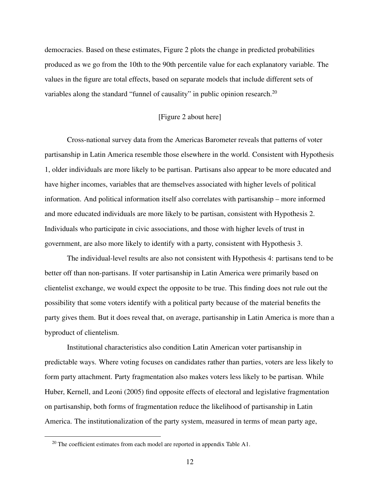democracies. Based on these estimates, Figure 2 plots the change in predicted probabilities produced as we go from the 10th to the 90th percentile value for each explanatory variable. The values in the figure are total effects, based on separate models that include different sets of variables along the standard "funnel of causality" in public opinion research.<sup>20</sup>

### [Figure 2 about here]

Cross-national survey data from the Americas Barometer reveals that patterns of voter partisanship in Latin America resemble those elsewhere in the world. Consistent with Hypothesis 1, older individuals are more likely to be partisan. Partisans also appear to be more educated and have higher incomes, variables that are themselves associated with higher levels of political information. And political information itself also correlates with partisanship – more informed and more educated individuals are more likely to be partisan, consistent with Hypothesis 2. Individuals who participate in civic associations, and those with higher levels of trust in government, are also more likely to identify with a party, consistent with Hypothesis 3.

The individual-level results are also not consistent with Hypothesis 4: partisans tend to be better off than non-partisans. If voter partisanship in Latin America were primarily based on clientelist exchange, we would expect the opposite to be true. This finding does not rule out the possibility that some voters identify with a political party because of the material benefits the party gives them. But it does reveal that, on average, partisanship in Latin America is more than a byproduct of clientelism.

Institutional characteristics also condition Latin American voter partisanship in predictable ways. Where voting focuses on candidates rather than parties, voters are less likely to form party attachment. Party fragmentation also makes voters less likely to be partisan. While Huber, Kernell, and Leoni (2005) find opposite effects of electoral and legislative fragmentation on partisanship, both forms of fragmentation reduce the likelihood of partisanship in Latin America. The institutionalization of the party system, measured in terms of mean party age,

<sup>&</sup>lt;sup>20</sup> The coefficient estimates from each model are reported in appendix Table A1.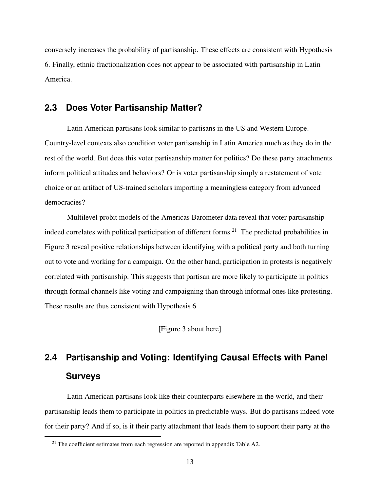conversely increases the probability of partisanship. These effects are consistent with Hypothesis 6. Finally, ethnic fractionalization does not appear to be associated with partisanship in Latin America.

### **2.3 Does Voter Partisanship Matter?**

Latin American partisans look similar to partisans in the US and Western Europe. Country-level contexts also condition voter partisanship in Latin America much as they do in the rest of the world. But does this voter partisanship matter for politics? Do these party attachments inform political attitudes and behaviors? Or is voter partisanship simply a restatement of vote choice or an artifact of US-trained scholars importing a meaningless category from advanced democracies?

Multilevel probit models of the Americas Barometer data reveal that voter partisanship indeed correlates with political participation of different forms.<sup>21</sup> The predicted probabilities in Figure 3 reveal positive relationships between identifying with a political party and both turning out to vote and working for a campaign. On the other hand, participation in protests is negatively correlated with partisanship. This suggests that partisan are more likely to participate in politics through formal channels like voting and campaigning than through informal ones like protesting. These results are thus consistent with Hypothesis 6.

[Figure 3 about here]

## **2.4 Partisanship and Voting: Identifying Causal Effects with Panel Surveys**

Latin American partisans look like their counterparts elsewhere in the world, and their partisanship leads them to participate in politics in predictable ways. But do partisans indeed vote for their party? And if so, is it their party attachment that leads them to support their party at the

<sup>&</sup>lt;sup>21</sup> The coefficient estimates from each regression are reported in appendix Table A2.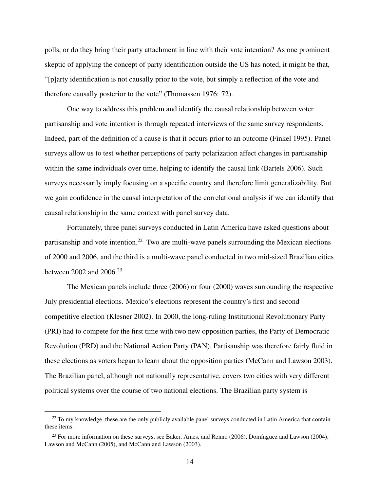polls, or do they bring their party attachment in line with their vote intention? As one prominent skeptic of applying the concept of party identification outside the US has noted, it might be that, "[p]arty identification is not causally prior to the vote, but simply a reflection of the vote and therefore causally posterior to the vote" (Thomassen 1976: 72).

One way to address this problem and identify the causal relationship between voter partisanship and vote intention is through repeated interviews of the same survey respondents. Indeed, part of the definition of a cause is that it occurs prior to an outcome (Finkel 1995). Panel surveys allow us to test whether perceptions of party polarization affect changes in partisanship within the same individuals over time, helping to identify the causal link (Bartels 2006). Such surveys necessarily imply focusing on a specific country and therefore limit generalizability. But we gain confidence in the causal interpretation of the correlational analysis if we can identify that causal relationship in the same context with panel survey data.

Fortunately, three panel surveys conducted in Latin America have asked questions about partisanship and vote intention.<sup>22</sup> Two are multi-wave panels surrounding the Mexican elections of 2000 and 2006, and the third is a multi-wave panel conducted in two mid-sized Brazilian cities between 2002 and 2006.<sup>23</sup>

The Mexican panels include three (2006) or four (2000) waves surrounding the respective July presidential elections. Mexico's elections represent the country's first and second competitive election (Klesner 2002). In 2000, the long-ruling Institutional Revolutionary Party (PRI) had to compete for the first time with two new opposition parties, the Party of Democratic Revolution (PRD) and the National Action Party (PAN). Partisanship was therefore fairly fluid in these elections as voters began to learn about the opposition parties (McCann and Lawson 2003). The Brazilian panel, although not nationally representative, covers two cities with very different political systems over the course of two national elections. The Brazilian party system is

<sup>&</sup>lt;sup>22</sup> To my knowledge, these are the only publicly available panel surveys conducted in Latin America that contain these items.

<sup>&</sup>lt;sup>23</sup> For more information on these surveys, see Baker, Ames, and Renno (2006), Domínguez and Lawson (2004), Lawson and McCann (2005), and McCann and Lawson (2003).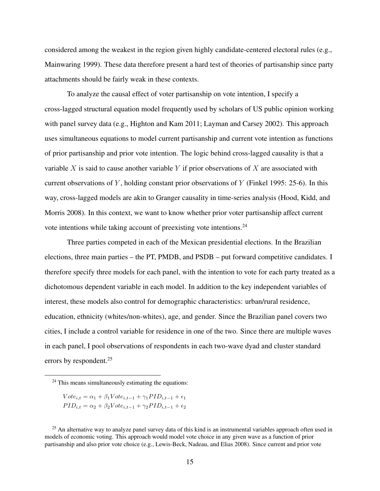considered among the weakest in the region given highly candidate-centered electoral rules (e.g., Mainwaring 1999). These data therefore present a hard test of theories of partisanship since party attachments should be fairly weak in these contexts.

To analyze the causal effect of voter partisanship on vote intention, I specify a cross-lagged structural equation model frequently used by scholars of US public opinion working with panel survey data (e.g., Highton and Kam 2011; Layman and Carsey 2002). This approach uses simultaneous equations to model current partisanship and current vote intention as functions of prior partisanship and prior vote intention. The logic behind cross-lagged causality is that a variable  $X$  is said to cause another variable  $Y$  if prior observations of  $X$  are associated with current observations of Y, holding constant prior observations of Y (Finkel 1995: 25-6). In this way, cross-lagged models are akin to Granger causality in time-series analysis (Hood, Kidd, and Morris 2008). In this context, we want to know whether prior voter partisanship affect current vote intentions while taking account of preexisting vote intentions.<sup>24</sup>

Three parties competed in each of the Mexican presidential elections. In the Brazilian elections, three main parties – the PT, PMDB, and PSDB – put forward competitive candidates. I therefore specify three models for each panel, with the intention to vote for each party treated as a dichotomous dependent variable in each model. In addition to the key independent variables of interest, these models also control for demographic characteristics: urban/rural residence, education, ethnicity (whites/non-whites), age, and gender. Since the Brazilian panel covers two cities, I include a control variable for residence in one of the two. Since there are multiple waves in each panel, I pool observations of respondents in each two-wave dyad and cluster standard errors by respondent.<sup>25</sup>

$$
Vote_{i,t} = \alpha_1 + \beta_1 Vote_{i,t-1} + \gamma_1 PID_{i,t-1} + \epsilon_1
$$
  

$$
PID_{i,t} = \alpha_2 + \beta_2 Vote_{i,t-1} + \gamma_2 PID_{i,t-1} + \epsilon_2
$$

 $24$  This means simultaneously estimating the equations:

<sup>&</sup>lt;sup>25</sup> An alternative way to analyze panel survey data of this kind is an instrumental variables approach often used in models of economic voting. This approach would model vote choice in any given wave as a function of prior partisanship and also prior vote choice (e.g., Lewis-Beck, Nadeau, and Elias 2008). Since current and prior vote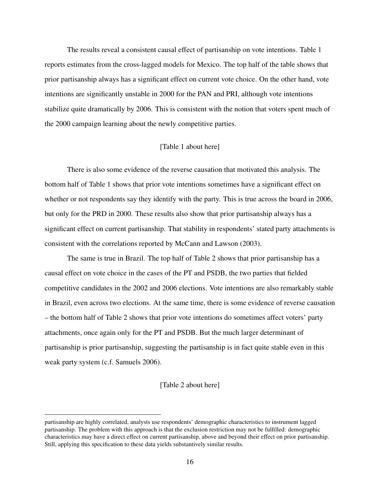The results reveal a consistent causal effect of partisanship on vote intentions. Table 1 reports estimates from the cross-lagged models for Mexico. The top half of the table shows that prior partisanship always has a significant effect on current vote choice. On the other hand, vote intentions are significantly unstable in 2000 for the PAN and PRI, although vote intentions stabilize quite dramatically by 2006. This is consistent with the notion that voters spent much of the 2000 campaign learning about the newly competitive parties.

### [Table 1 about here]

There is also some evidence of the reverse causation that motivated this analysis. The bottom half of Table 1 shows that prior vote intentions sometimes have a significant effect on whether or not respondents say they identify with the party. This is true across the board in 2006, but only for the PRD in 2000. These results also show that prior partisanship always has a significant effect on current partisanship. That stability in respondents' stated party attachments is consistent with the correlations reported by McCann and Lawson (2003).

The same is true in Brazil. The top half of Table 2 shows that prior partisanship has a causal effect on vote choice in the cases of the PT and PSDB, the two parties that fielded competitive candidates in the 2002 and 2006 elections. Vote intentions are also remarkably stable in Brazil, even across two elections. At the same time, there is some evidence of reverse causation – the bottom half of Table 2 shows that prior vote intentions do sometimes affect voters' party attachments, once again only for the PT and PSDB. But the much larger determinant of partisanship is prior partisanship, suggesting the partisanship is in fact quite stable even in this weak party system (c.f. Samuels 2006).

### [Table 2 about here]

partisanship are highly correlated, analysts use respondents' demographic characteristics to instrument lagged partisanship. The problem with this approach is that the exclusion restriction may not be fulfilled: demographic characteristics may have a direct effect on current partisanship, above and beyond their effect on prior partisanship. Still, applying this specification to these data yields substantively similar results.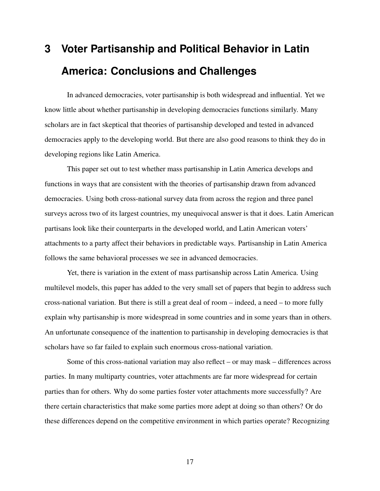# **3 Voter Partisanship and Political Behavior in Latin America: Conclusions and Challenges**

In advanced democracies, voter partisanship is both widespread and influential. Yet we know little about whether partisanship in developing democracies functions similarly. Many scholars are in fact skeptical that theories of partisanship developed and tested in advanced democracies apply to the developing world. But there are also good reasons to think they do in developing regions like Latin America.

This paper set out to test whether mass partisanship in Latin America develops and functions in ways that are consistent with the theories of partisanship drawn from advanced democracies. Using both cross-national survey data from across the region and three panel surveys across two of its largest countries, my unequivocal answer is that it does. Latin American partisans look like their counterparts in the developed world, and Latin American voters' attachments to a party affect their behaviors in predictable ways. Partisanship in Latin America follows the same behavioral processes we see in advanced democracies.

Yet, there is variation in the extent of mass partisanship across Latin America. Using multilevel models, this paper has added to the very small set of papers that begin to address such cross-national variation. But there is still a great deal of room – indeed, a need – to more fully explain why partisanship is more widespread in some countries and in some years than in others. An unfortunate consequence of the inattention to partisanship in developing democracies is that scholars have so far failed to explain such enormous cross-national variation.

Some of this cross-national variation may also reflect – or may mask – differences across parties. In many multiparty countries, voter attachments are far more widespread for certain parties than for others. Why do some parties foster voter attachments more successfully? Are there certain characteristics that make some parties more adept at doing so than others? Or do these differences depend on the competitive environment in which parties operate? Recognizing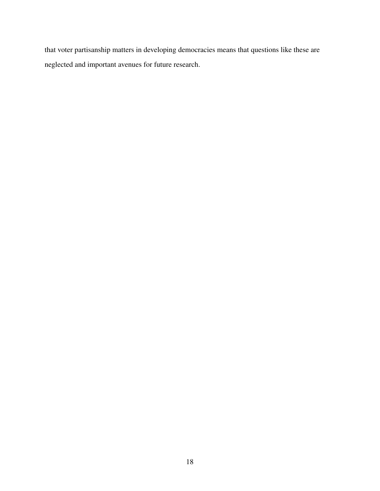that voter partisanship matters in developing democracies means that questions like these are neglected and important avenues for future research.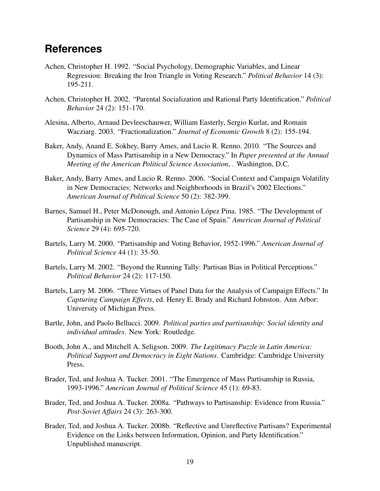## **References**

- Achen, Christopher H. 1992. "Social Psychology, Demographic Variables, and Linear Regression: Breaking the Iron Triangle in Voting Research." *Political Behavior* 14 (3): 195-211.
- Achen, Christopher H. 2002. "Parental Socialization and Rational Party Identification." *Political Behavior* 24 (2): 151-170.
- Alesina, Alberto, Arnaud Devleeschauwer, William Easterly, Sergio Kurlat, and Romain Wacziarg. 2003. "Fractionalization." *Journal of Economic Growth* 8 (2): 155-194.
- Baker, Andy, Anand E. Sokhey, Barry Ames, and Lucio R. Renno. 2010. "The Sources and Dynamics of Mass Partisanship in a New Democracy." In *Paper presented at the Annual Meeting of the American Political Science Association*, . Washington, D.C.
- Baker, Andy, Barry Ames, and Lucio R. Renno. 2006. "Social Context and Campaign Volatility in New Democracies: Networks and Neighborhoods in Brazil's 2002 Elections." *American Journal of Political Science* 50 (2): 382-399.
- Barnes, Samuel H., Peter McDonough, and Antonio López Pina. 1985. "The Development of Partisanship in New Democracies: The Case of Spain." *American Journal of Political Science* 29 (4): 695-720.
- Bartels, Larry M. 2000. "Partisanship and Voting Behavior, 1952-1996." *American Journal of Political Science* 44 (1): 35-50.
- Bartels, Larry M. 2002. "Beyond the Running Tally: Partisan Bias in Political Perceptions." *Political Behavior* 24 (2): 117-150.
- Bartels, Larry M. 2006. "Three Virtues of Panel Data for the Analysis of Campaign Effects." In *Capturing Campaign Effects*, ed. Henry E. Brady and Richard Johnston. Ann Arbor: University of Michigan Press.
- Bartle, John, and Paolo Bellucci. 2009. *Political parties and partisanship: Social identity and individual attitudes*. New York: Routledge.
- Booth, John A., and Mitchell A. Seligson. 2009. *The Legitimacy Puzzle in Latin America: Political Support and Democracy in Eight Nations*. Cambridge: Cambridge University Press.
- Brader, Ted, and Joshua A. Tucker. 2001. "The Emergence of Mass Partisanship in Russia, 1993-1996." *American Journal of Political Science* 45 (1): 69-83.
- Brader, Ted, and Joshua A. Tucker. 2008a. "Pathways to Partisanship: Evidence from Russia." *Post-Soviet Affairs* 24 (3): 263-300.
- Brader, Ted, and Joshua A. Tucker. 2008b. "Reflective and Unreflective Partisans? Experimental Evidence on the Links between Information, Opinion, and Party Identification." Unpublished manuscript.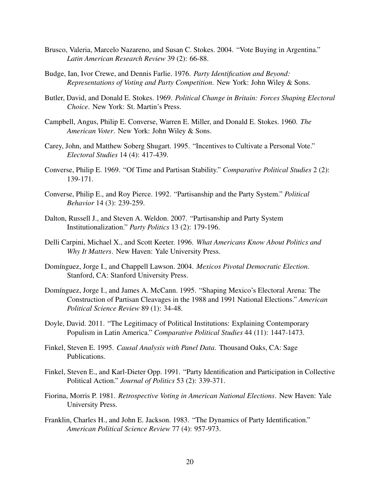- Brusco, Valeria, Marcelo Nazareno, and Susan C. Stokes. 2004. "Vote Buying in Argentina." *Latin American Research Review* 39 (2): 66-88.
- Budge, Ian, Ivor Crewe, and Dennis Farlie. 1976. *Party Identification and Beyond: Representations of Voting and Party Competition*. New York: John Wiley & Sons.
- Butler, David, and Donald E. Stokes. 1969. *Political Change in Britain: Forces Shaping Electoral Choice*. New York: St. Martin's Press.
- Campbell, Angus, Philip E. Converse, Warren E. Miller, and Donald E. Stokes. 1960. *The American Voter*. New York: John Wiley & Sons.
- Carey, John, and Matthew Soberg Shugart. 1995. "Incentives to Cultivate a Personal Vote." *Electoral Studies* 14 (4): 417-439.
- Converse, Philip E. 1969. "Of Time and Partisan Stability." *Comparative Political Studies* 2 (2): 139-171.
- Converse, Philip E., and Roy Pierce. 1992. "Partisanship and the Party System." *Political Behavior* 14 (3): 239-259.
- Dalton, Russell J., and Steven A. Weldon. 2007. "Partisanship and Party System Institutionalization." *Party Politics* 13 (2): 179-196.
- Delli Carpini, Michael X., and Scott Keeter. 1996. *What Americans Know About Politics and Why It Matters*. New Haven: Yale University Press.
- Domínguez, Jorge I., and Chappell Lawson. 2004. *Mexicos Pivotal Democratic Election*. Stanford, CA: Stanford University Press.
- Domínguez, Jorge I., and James A. McCann. 1995. "Shaping Mexico's Electoral Arena: The Construction of Partisan Cleavages in the 1988 and 1991 National Elections." *American Political Science Review* 89 (1): 34-48.
- Doyle, David. 2011. "The Legitimacy of Political Institutions: Explaining Contemporary Populism in Latin America." *Comparative Political Studies* 44 (11): 1447-1473.
- Finkel, Steven E. 1995. *Causal Analysis with Panel Data*. Thousand Oaks, CA: Sage Publications.
- Finkel, Steven E., and Karl-Dieter Opp. 1991. "Party Identification and Participation in Collective Political Action." *Journal of Politics* 53 (2): 339-371.
- Fiorina, Morris P. 1981. *Retrospective Voting in American National Elections*. New Haven: Yale University Press.
- Franklin, Charles H., and John E. Jackson. 1983. "The Dynamics of Party Identification." *American Political Science Review* 77 (4): 957-973.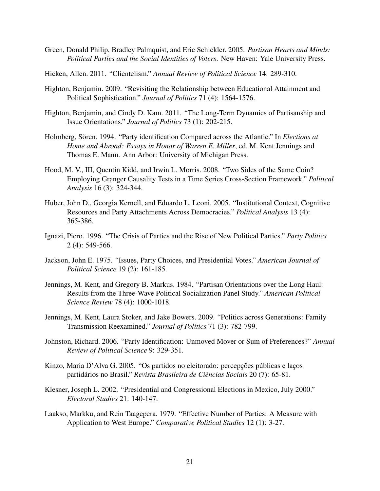- Green, Donald Philip, Bradley Palmquist, and Eric Schickler. 2005. *Partisan Hearts and Minds: Political Parties and the Social Identities of Voters*. New Haven: Yale University Press.
- Hicken, Allen. 2011. "Clientelism." *Annual Review of Political Science* 14: 289-310.
- Highton, Benjamin. 2009. "Revisiting the Relationship between Educational Attainment and Political Sophistication." *Journal of Politics* 71 (4): 1564-1576.
- Highton, Benjamin, and Cindy D. Kam. 2011. "The Long-Term Dynamics of Partisanship and Issue Orientations." *Journal of Politics* 73 (1): 202-215.
- Holmberg, Sören. 1994. "Party identification Compared across the Atlantic." In *Elections at Home and Abroad: Essays in Honor of Warren E. Miller*, ed. M. Kent Jennings and Thomas E. Mann. Ann Arbor: University of Michigan Press.
- Hood, M. V., III, Quentin Kidd, and Irwin L. Morris. 2008. "Two Sides of the Same Coin? Employing Granger Causality Tests in a Time Series Cross-Section Framework." *Political Analysis* 16 (3): 324-344.
- Huber, John D., Georgia Kernell, and Eduardo L. Leoni. 2005. "Institutional Context, Cognitive Resources and Party Attachments Across Democracies." *Political Analysis* 13 (4): 365-386.
- Ignazi, Piero. 1996. "The Crisis of Parties and the Rise of New Political Parties." *Party Politics* 2 (4): 549-566.
- Jackson, John E. 1975. "Issues, Party Choices, and Presidential Votes." *American Journal of Political Science* 19 (2): 161-185.
- Jennings, M. Kent, and Gregory B. Markus. 1984. "Partisan Orientations over the Long Haul: Results from the Three-Wave Political Socialization Panel Study." *American Political Science Review* 78 (4): 1000-1018.
- Jennings, M. Kent, Laura Stoker, and Jake Bowers. 2009. "Politics across Generations: Family Transmission Reexamined." *Journal of Politics* 71 (3): 782-799.
- Johnston, Richard. 2006. "Party Identification: Unmoved Mover or Sum of Preferences?" *Annual Review of Political Science* 9: 329-351.
- Kinzo, Maria D'Alva G. 2005. "Os partidos no eleitorado: percepções públicas e laços partidários no Brasil." *Revista Brasileira de Ciências Sociais* 20 (7): 65-81.
- Klesner, Joseph L. 2002. "Presidential and Congressional Elections in Mexico, July 2000." *Electoral Studies* 21: 140-147.
- Laakso, Markku, and Rein Taagepera. 1979. "Effective Number of Parties: A Measure with Application to West Europe." *Comparative Political Studies* 12 (1): 3-27.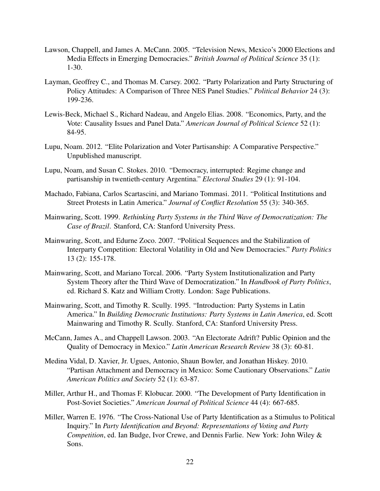- Lawson, Chappell, and James A. McCann. 2005. "Television News, Mexico's 2000 Elections and Media Effects in Emerging Democracies." *British Journal of Political Science* 35 (1): 1-30.
- Layman, Geoffrey C., and Thomas M. Carsey. 2002. "Party Polarization and Party Structuring of Policy Attitudes: A Comparison of Three NES Panel Studies." *Political Behavior* 24 (3): 199-236.
- Lewis-Beck, Michael S., Richard Nadeau, and Angelo Elias. 2008. "Economics, Party, and the Vote: Causality Issues and Panel Data." *American Journal of Political Science* 52 (1): 84-95.
- Lupu, Noam. 2012. "Elite Polarization and Voter Partisanship: A Comparative Perspective." Unpublished manuscript.
- Lupu, Noam, and Susan C. Stokes. 2010. "Democracy, interrupted: Regime change and partisanship in twentieth-century Argentina." *Electoral Studies* 29 (1): 91-104.
- Machado, Fabiana, Carlos Scartascini, and Mariano Tommasi. 2011. "Political Institutions and Street Protests in Latin America." *Journal of Conflict Resolution* 55 (3): 340-365.
- Mainwaring, Scott. 1999. *Rethinking Party Systems in the Third Wave of Democratization: The Case of Brazil*. Stanford, CA: Stanford University Press.
- Mainwaring, Scott, and Edurne Zoco. 2007. "Political Sequences and the Stabilization of Interparty Competition: Electoral Volatility in Old and New Democracies." *Party Politics* 13 (2): 155-178.
- Mainwaring, Scott, and Mariano Torcal. 2006. "Party System Institutionalization and Party System Theory after the Third Wave of Democratization." In *Handbook of Party Politics*, ed. Richard S. Katz and William Crotty. London: Sage Publications.
- Mainwaring, Scott, and Timothy R. Scully. 1995. "Introduction: Party Systems in Latin America." In *Building Democratic Institutions: Party Systems in Latin America*, ed. Scott Mainwaring and Timothy R. Scully. Stanford, CA: Stanford University Press.
- McCann, James A., and Chappell Lawson. 2003. "An Electorate Adrift? Public Opinion and the Quality of Democracy in Mexico." *Latin American Research Review* 38 (3): 60-81.
- Medina Vidal, D. Xavier, Jr. Ugues, Antonio, Shaun Bowler, and Jonathan Hiskey. 2010. "Partisan Attachment and Democracy in Mexico: Some Cautionary Observations." *Latin American Politics and Society* 52 (1): 63-87.
- Miller, Arthur H., and Thomas F. Klobucar. 2000. "The Development of Party Identification in Post-Soviet Societies." *American Journal of Political Science* 44 (4): 667-685.
- Miller, Warren E. 1976. "The Cross-National Use of Party Identification as a Stimulus to Political Inquiry." In *Party Identification and Beyond: Representations of Voting and Party Competition*, ed. Ian Budge, Ivor Crewe, and Dennis Farlie. New York: John Wiley & Sons.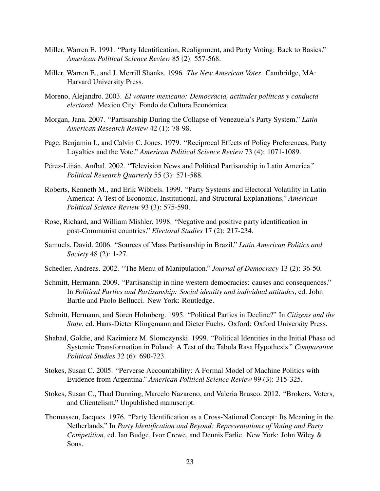- Miller, Warren E. 1991. "Party Identification, Realignment, and Party Voting: Back to Basics." *American Political Science Review* 85 (2): 557-568.
- Miller, Warren E., and J. Merrill Shanks. 1996. *The New American Voter*. Cambridge, MA: Harvard University Press.
- Moreno, Alejandro. 2003. *El votante mexicano: Democracia, actitudes pol´ıticas y conducta electoral*. Mexico City: Fondo de Cultura Económica.
- Morgan, Jana. 2007. "Partisanship During the Collapse of Venezuela's Party System." *Latin American Research Review* 42 (1): 78-98.
- Page, Benjamin I., and Calvin C. Jones. 1979. "Reciprocal Effects of Policy Preferences, Party Loyalties and the Vote." *American Political Science Review* 73 (4): 1071-1089.
- Pérez-Liñán, Aníbal. 2002. "Television News and Political Partisanship in Latin America." *Political Research Quarterly* 55 (3): 571-588.
- Roberts, Kenneth M., and Erik Wibbels. 1999. "Party Systems and Electoral Volatility in Latin America: A Test of Economic, Institutional, and Structural Explanations." *American Political Science Review* 93 (3): 575-590.
- Rose, Richard, and William Mishler. 1998. "Negative and positive party identification in post-Communist countries." *Electoral Studies* 17 (2): 217-234.
- Samuels, David. 2006. "Sources of Mass Partisanship in Brazil." *Latin American Politics and Society* 48 (2): 1-27.
- Schedler, Andreas. 2002. "The Menu of Manipulation." *Journal of Democracy* 13 (2): 36-50.
- Schmitt, Hermann. 2009. "Partisanship in nine western democracies: causes and consequences." In *Political Parties and Partisanship: Social identity and individual attitudes*, ed. John Bartle and Paolo Bellucci. New York: Routledge.
- Schmitt, Hermann, and Sören Holmberg. 1995. "Political Parties in Decline?" In Citizens and the *State*, ed. Hans-Dieter Klingemann and Dieter Fuchs. Oxford: Oxford University Press.
- Shabad, Goldie, and Kazimierz M. Slomczynski. 1999. "Political Identities in the Initial Phase od Systemic Transformation in Poland: A Test of the Tabula Rasa Hypothesis." *Comparative Political Studies* 32 (6): 690-723.
- Stokes, Susan C. 2005. "Perverse Accountability: A Formal Model of Machine Politics with Evidence from Argentina." *American Political Science Review* 99 (3): 315-325.
- Stokes, Susan C., Thad Dunning, Marcelo Nazareno, and Valeria Brusco. 2012. "Brokers, Voters, and Clientelism." Unpublished manuscript.
- Thomassen, Jacques. 1976. "Party Identification as a Cross-National Concept: Its Meaning in the Netherlands." In *Party Identification and Beyond: Representations of Voting and Party Competition*, ed. Ian Budge, Ivor Crewe, and Dennis Farlie. New York: John Wiley & Sons.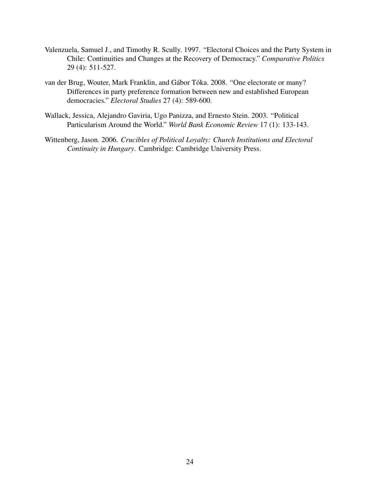- Valenzuela, Samuel J., and Timothy R. Scully. 1997. "Electoral Choices and the Party System in Chile: Continuities and Changes at the Recovery of Democracy." *Comparative Politics* 29 (4): 511-527.
- van der Brug, Wouter, Mark Franklin, and Gábor Tóka. 2008. "One electorate or many? Differences in party preference formation between new and established European democracies." *Electoral Studies* 27 (4): 589-600.
- Wallack, Jessica, Alejandro Gaviria, Ugo Panizza, and Ernesto Stein. 2003. "Political Particularism Around the World." *World Bank Economic Review* 17 (1): 133-143.
- Wittenberg, Jason. 2006. *Crucibles of Political Loyalty: Church Institutions and Electoral Continuity in Hungary*. Cambridge: Cambridge University Press.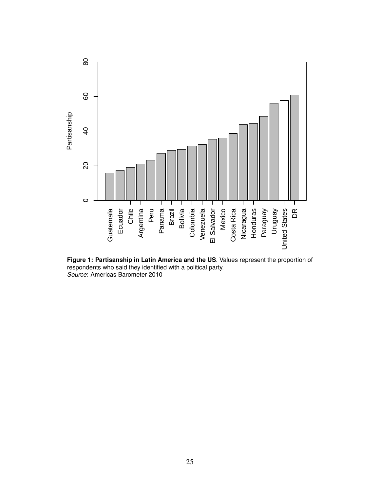

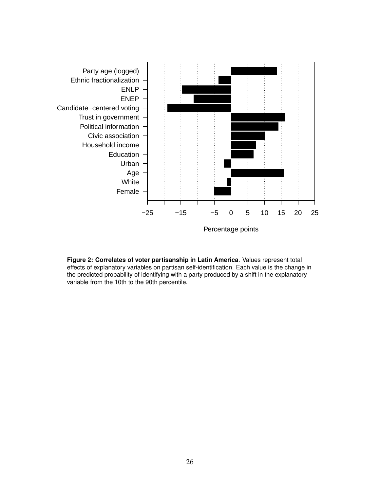

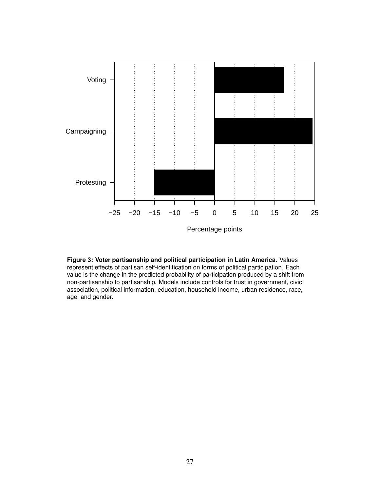

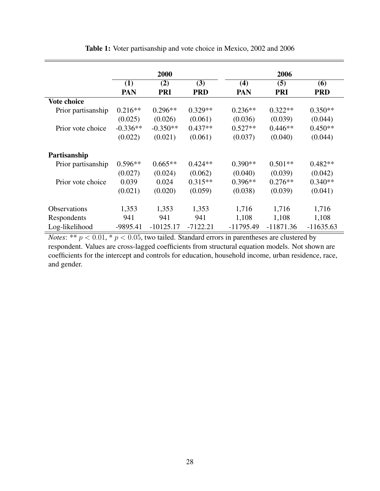|                    | 2000       |             |            | 2006        |             |             |  |
|--------------------|------------|-------------|------------|-------------|-------------|-------------|--|
|                    |            |             |            |             |             |             |  |
|                    | (1)        | (2)         | (3)        | (4)         | (5)         | (6)         |  |
|                    | PAN        | <b>PRI</b>  | <b>PRD</b> | <b>PAN</b>  | <b>PRI</b>  | <b>PRD</b>  |  |
| <b>Vote choice</b> |            |             |            |             |             |             |  |
| Prior partisanship | $0.216**$  | $0.296**$   | $0.329**$  | $0.236**$   | $0.322**$   | $0.350**$   |  |
|                    | (0.025)    | (0.026)     | (0.061)    | (0.036)     | (0.039)     | (0.044)     |  |
| Prior vote choice  | $-0.336**$ | $-0.350**$  | $0.437**$  | $0.527**$   | $0.446**$   | $0.450**$   |  |
|                    | (0.022)    | (0.021)     | (0.061)    | (0.037)     | (0.040)     | (0.044)     |  |
| Partisanship       |            |             |            |             |             |             |  |
| Prior partisanship | $0.596**$  | $0.665**$   | $0.424**$  | $0.390**$   | $0.501**$   | $0.482**$   |  |
|                    | (0.027)    | (0.024)     | (0.062)    | (0.040)     | (0.039)     | (0.042)     |  |
| Prior vote choice  | 0.039      | 0.024       | $0.315**$  | $0.396**$   | $0.276**$   | $0.340**$   |  |
|                    | (0.021)    | (0.020)     | (0.059)    | (0.038)     | (0.039)     | (0.041)     |  |
| Observations       | 1,353      | 1,353       | 1,353      | 1,716       | 1,716       | 1,716       |  |
| Respondents        | 941        | 941         | 941        | 1,108       | 1,108       | 1,108       |  |
| Log-likelihood     | $-9895.41$ | $-10125.17$ | $-7122.21$ | $-11795.49$ | $-11871.36$ | $-11635.63$ |  |

Table 1: Voter partisanship and vote choice in Mexico, 2002 and 2006

*Notes*: \*\*  $p < 0.01$ , \*  $p < 0.05$ , two tailed. Standard errors in parentheses are clustered by respondent. Values are cross-lagged coefficients from structural equation models. Not shown are coefficients for the intercept and controls for education, household income, urban residence, race, and gender.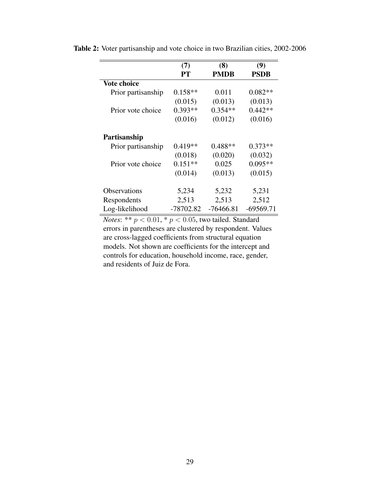|                     | (7)       | (8)         | (9)         |
|---------------------|-----------|-------------|-------------|
|                     | PТ        | <b>PMDB</b> | <b>PSDB</b> |
| <b>Vote choice</b>  |           |             |             |
| Prior partisanship  | $0.158**$ | 0.011       | $0.082**$   |
|                     | (0.015)   | (0.013)     | (0.013)     |
| Prior vote choice   | $0.393**$ | $0.354**$   | $0.442**$   |
|                     | (0.016)   | (0.012)     | (0.016)     |
| Partisanship        |           |             |             |
| Prior partisanship  | $0.419**$ | $0.488**$   | $0.373**$   |
|                     | (0.018)   | (0.020)     | (0.032)     |
| Prior vote choice   | $0.151**$ | 0.025       | $0.095**$   |
|                     | (0.014)   | (0.013)     | (0.015)     |
| <b>Observations</b> | 5,234     | 5,232       | 5,231       |
| Respondents         | 2,513     | 2,513       | 2,512       |
| Log-likelihood      | -78702.82 | $-76466.81$ | $-69569.71$ |

Table 2: Voter partisanship and vote choice in two Brazilian cities, 2002-2006

*Notes*: \*\*  $p < 0.01$ , \*  $p < 0.05$ , two tailed. Standard errors in parentheses are clustered by respondent. Values are cross-lagged coefficients from structural equation models. Not shown are coefficients for the intercept and controls for education, household income, race, gender, and residents of Juiz de Fora.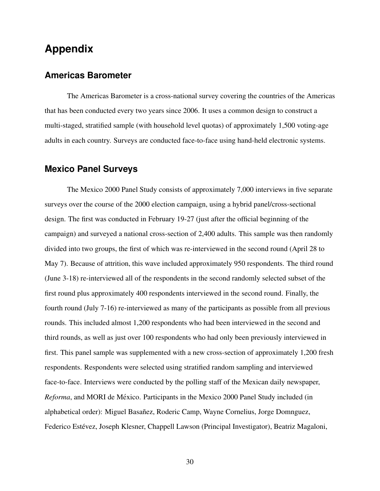## **Appendix**

### **Americas Barometer**

The Americas Barometer is a cross-national survey covering the countries of the Americas that has been conducted every two years since 2006. It uses a common design to construct a multi-staged, stratified sample (with household level quotas) of approximately 1,500 voting-age adults in each country. Surveys are conducted face-to-face using hand-held electronic systems.

### **Mexico Panel Surveys**

The Mexico 2000 Panel Study consists of approximately 7,000 interviews in five separate surveys over the course of the 2000 election campaign, using a hybrid panel/cross-sectional design. The first was conducted in February 19-27 (just after the official beginning of the campaign) and surveyed a national cross-section of 2,400 adults. This sample was then randomly divided into two groups, the first of which was re-interviewed in the second round (April 28 to May 7). Because of attrition, this wave included approximately 950 respondents. The third round (June 3-18) re-interviewed all of the respondents in the second randomly selected subset of the first round plus approximately 400 respondents interviewed in the second round. Finally, the fourth round (July 7-16) re-interviewed as many of the participants as possible from all previous rounds. This included almost 1,200 respondents who had been interviewed in the second and third rounds, as well as just over 100 respondents who had only been previously interviewed in first. This panel sample was supplemented with a new cross-section of approximately 1,200 fresh respondents. Respondents were selected using stratified random sampling and interviewed face-to-face. Interviews were conducted by the polling staff of the Mexican daily newspaper, *Reforma*, and MORI de México. Participants in the Mexico 2000 Panel Study included (in alphabetical order): Miguel Basañez, Roderic Camp, Wayne Cornelius, Jorge Domnguez, Federico Estévez, Joseph Klesner, Chappell Lawson (Principal Investigator), Beatriz Magaloni,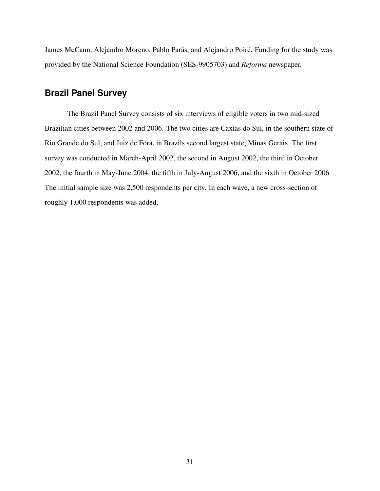James McCann, Alejandro Moreno, Pablo Parás, and Alejandro Poiré. Funding for the study was provided by the National Science Foundation (SES-9905703) and *Reforma* newspaper.

### **Brazil Panel Survey**

The Brazil Panel Survey consists of six interviews of eligible voters in two mid-sized Brazilian cities between 2002 and 2006. The two cities are Caxias do Sul, in the southern state of Rio Grande do Sul, and Juiz de Fora, in Brazils second largest state, Minas Gerais. The first survey was conducted in March-April 2002, the second in August 2002, the third in October 2002, the fourth in May-June 2004, the fifth in July-August 2006, and the sixth in October 2006. The initial sample size was 2,500 respondents per city. In each wave, a new cross-section of roughly 1,000 respondents was added.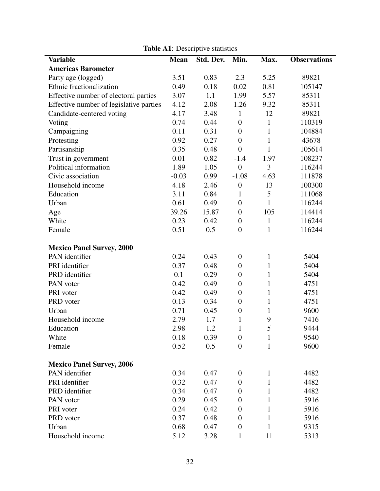| <b>Variable</b>                         | <b>Mean</b> | Std. Dev. | Min.             | Max.         | <b>Observations</b> |
|-----------------------------------------|-------------|-----------|------------------|--------------|---------------------|
| <b>Americas Barometer</b>               |             |           |                  |              |                     |
| Party age (logged)                      | 3.51        | 0.83      | 2.3              | 5.25         | 89821               |
| Ethnic fractionalization                | 0.49        | 0.18      | 0.02             | 0.81         | 105147              |
| Effective number of electoral parties   | 3.07        | 1.1       | 1.99             | 5.57         | 85311               |
| Effective number of legislative parties | 4.12        | 2.08      | 1.26             | 9.32         | 85311               |
| Candidate-centered voting               | 4.17        | 3.48      | $\mathbf{1}$     | 12           | 89821               |
| Voting                                  | 0.74        | 0.44      | $\boldsymbol{0}$ | $\mathbf{1}$ | 110319              |
| Campaigning                             | 0.11        | 0.31      | $\boldsymbol{0}$ | $\mathbf{1}$ | 104884              |
| Protesting                              | 0.92        | 0.27      | $\boldsymbol{0}$ | $\mathbf{1}$ | 43678               |
| Partisanship                            | 0.35        | 0.48      | $\overline{0}$   | $\mathbf{1}$ | 105614              |
| Trust in government                     | 0.01        | 0.82      | $-1.4$           | 1.97         | 108237              |
| Political information                   | 1.89        | 1.05      | $\boldsymbol{0}$ | 3            | 116244              |
| Civic association                       | $-0.03$     | 0.99      | $-1.08$          | 4.63         | 111878              |
| Household income                        | 4.18        | 2.46      | $\boldsymbol{0}$ | 13           | 100300              |
| Education                               | 3.11        | 0.84      | $\mathbf{1}$     | 5            | 111068              |
| Urban                                   | 0.61        | 0.49      | $\boldsymbol{0}$ | $\mathbf{1}$ | 116244              |
| Age                                     | 39.26       | 15.87     | $\boldsymbol{0}$ | 105          | 114414              |
| White                                   | 0.23        | 0.42      | $\boldsymbol{0}$ | $\mathbf{1}$ | 116244              |
| Female                                  | 0.51        | 0.5       | $\boldsymbol{0}$ | $\mathbf{1}$ | 116244              |
|                                         |             |           |                  |              |                     |
| <b>Mexico Panel Survey, 2000</b>        |             |           |                  |              |                     |
| PAN identifier                          | 0.24        | 0.43      | $\boldsymbol{0}$ | $\mathbf{1}$ | 5404                |
| PRI identifier                          | 0.37        | 0.48      | $\boldsymbol{0}$ | 1            | 5404                |
| PRD identifier                          | 0.1         | 0.29      | $\boldsymbol{0}$ | $\mathbf{1}$ | 5404                |
| PAN voter                               | 0.42        | 0.49      | $\boldsymbol{0}$ | $\mathbf{1}$ | 4751                |
| PRI voter                               | 0.42        | 0.49      | $\boldsymbol{0}$ | $\mathbf{1}$ | 4751                |
| PRD voter                               | 0.13        | 0.34      | $\boldsymbol{0}$ | 1            | 4751                |
| Urban                                   | 0.71        | 0.45      | $\boldsymbol{0}$ | 1            | 9600                |
| Household income                        | 2.79        | 1.7       | $\mathbf{1}$     | 9            | 7416                |
| Education                               | 2.98        | 1.2       | 1                | 5            | 9444                |
| White                                   | 0.18        | 0.39      | $\boldsymbol{0}$ | $\mathbf{1}$ | 9540                |
| Female                                  | 0.52        | 0.5       | $\boldsymbol{0}$ | $\mathbf{1}$ | 9600                |
| <b>Mexico Panel Survey, 2006</b>        |             |           |                  |              |                     |
| PAN identifier                          | 0.34        | 0.47      | $\boldsymbol{0}$ | 1            | 4482                |
| PRI identifier                          | 0.32        | 0.47      | $\boldsymbol{0}$ | 1            | 4482                |
| PRD identifier                          | 0.34        | 0.47      | $\overline{0}$   | 1            | 4482                |
| PAN voter                               | 0.29        | 0.45      | $\boldsymbol{0}$ | 1            | 5916                |
| PRI voter                               | 0.24        | 0.42      | $\boldsymbol{0}$ | 1            | 5916                |
| PRD voter                               | 0.37        | 0.48      | $\boldsymbol{0}$ | 1            | 5916                |
| Urban                                   | 0.68        | 0.47      | $\boldsymbol{0}$ | 1            | 9315                |
| Household income                        | 5.12        | 3.28      | $\mathbf{1}$     | 11           | 5313                |

Table A1: Descriptive statistics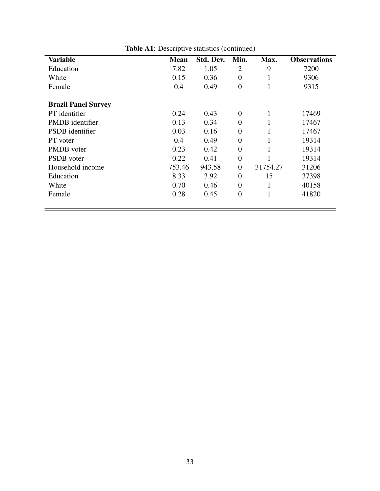| <b>Variable</b>            | Mean   | Std. Dev. | Min.             | Max.     | <b>Observations</b> |
|----------------------------|--------|-----------|------------------|----------|---------------------|
| Education                  | 7.82   | 1.05      | $\overline{2}$   | 9        | 7200                |
| White                      | 0.15   | 0.36      | $\overline{0}$   | $\bf{1}$ | 9306                |
| Female                     | 0.4    | 0.49      | $\overline{0}$   | -1       | 9315                |
|                            |        |           |                  |          |                     |
| <b>Brazil Panel Survey</b> |        |           |                  |          |                     |
| PT identifier              | 0.24   | 0.43      | $\theta$         | 1        | 17469               |
| <b>PMDB</b> identifier     | 0.13   | 0.34      | $\overline{0}$   |          | 17467               |
| <b>PSDB</b> identifier     | 0.03   | 0.16      | $\overline{0}$   |          | 17467               |
| PT voter                   | 0.4    | 0.49      | $\overline{0}$   |          | 19314               |
| <b>PMDB</b> voter          | 0.23   | 0.42      | $\overline{0}$   |          | 19314               |
| <b>PSDB</b> voter          | 0.22   | 0.41      | $\theta$         |          | 19314               |
| Household income           | 753.46 | 943.58    | $\overline{0}$   | 31754.27 | 31206               |
| Education                  | 8.33   | 3.92      | $\boldsymbol{0}$ | 15       | 37398               |
| White                      | 0.70   | 0.46      | $\overline{0}$   |          | 40158               |
| Female                     | 0.28   | 0.45      | $\overline{0}$   | -1       | 41820               |
|                            |        |           |                  |          |                     |

Table A1: Descriptive statistics (continued)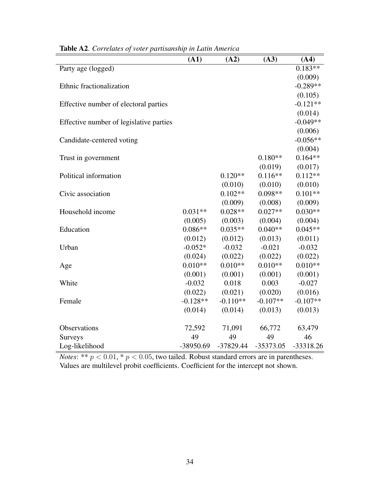|                                         | (A1)        | (A2)        | (A3)        | (A4)        |
|-----------------------------------------|-------------|-------------|-------------|-------------|
| Party age (logged)                      |             |             |             | $0.183**$   |
|                                         |             |             |             | (0.009)     |
| Ethnic fractionalization                |             |             |             | $-0.289**$  |
|                                         |             |             |             | (0.105)     |
| Effective number of electoral parties   |             |             |             | $-0.121**$  |
|                                         |             |             |             | (0.014)     |
| Effective number of legislative parties |             |             |             | $-0.049**$  |
|                                         |             |             |             | (0.006)     |
| Candidate-centered voting               |             |             |             | $-0.056**$  |
|                                         |             |             |             | (0.004)     |
| Trust in government                     |             |             | $0.180**$   | $0.164**$   |
|                                         |             |             | (0.019)     | (0.017)     |
| Political information                   |             | $0.120**$   | $0.116**$   | $0.112**$   |
|                                         |             | (0.010)     | (0.010)     | (0.010)     |
| Civic association                       |             | $0.102**$   | $0.098**$   | $0.101**$   |
|                                         |             | (0.009)     | (0.008)     | (0.009)     |
| Household income                        | $0.031**$   | $0.028**$   | $0.027**$   | $0.030**$   |
|                                         | (0.005)     | (0.003)     | (0.004)     | (0.004)     |
| Education                               | $0.086**$   | $0.035**$   | $0.040**$   | $0.045**$   |
|                                         | (0.012)     | (0.012)     | (0.013)     | (0.011)     |
| Urban                                   | $-0.052*$   | $-0.032$    | $-0.021$    | $-0.032$    |
|                                         | (0.024)     | (0.022)     | (0.022)     | (0.022)     |
| Age                                     | $0.010**$   | $0.010**$   | $0.010**$   | $0.010**$   |
|                                         | (0.001)     | (0.001)     | (0.001)     | (0.001)     |
| White                                   | $-0.032$    | 0.018       | 0.003       | $-0.027$    |
|                                         | (0.022)     | (0.021)     | (0.020)     | (0.016)     |
| Female                                  | $-0.128**$  | $-0.110**$  | $-0.107**$  | $-0.107**$  |
|                                         | (0.014)     | (0.014)     | (0.013)     | (0.013)     |
| Observations                            | 72,592      | 71,091      | 66,772      | 63,479      |
| Surveys                                 | 49          | 49          | 49          | 46          |
| Log-likelihood                          | $-38950.69$ | $-37829.44$ | $-35373.05$ | $-33318.26$ |

Table A2. *Correlates of voter partisanship in Latin America*

*Notes*: \*\*  $p < 0.01$ , \*  $p < 0.05$ , two tailed. Robust standard errors are in parentheses. Values are multilevel probit coefficients. Coefficient for the intercept not shown.